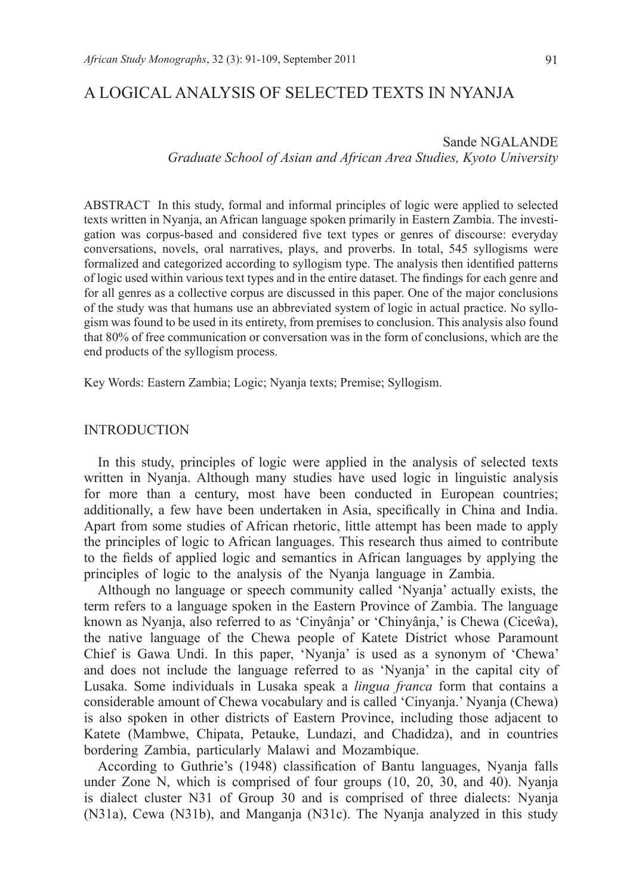## A LOGICAL ANALYSIS OF SELECTED TEXTS IN NYANJA

Sande NGALANDE *Graduate School of Asian and African Area Studies, Kyoto University*

ABSTRACT In this study, formal and informal principles of logic were applied to selected texts written in Nyanja, an African language spoken primarily in Eastern Zambia. The investigation was corpus-based and considered five text types or genres of discourse: everyday conversations, novels, oral narratives, plays, and proverbs. In total, 545 syllogisms were formalized and categorized according to syllogism type. The analysis then identified patterns of logic used within various text types and in the entire dataset. The findings for each genre and for all genres as a collective corpus are discussed in this paper. One of the major conclusions of the study was that humans use an abbreviated system of logic in actual practice. No syllogism was found to be used in its entirety, from premises to conclusion. This analysis also found that 80% of free communication or conversation was in the form of conclusions, which are the end products of the syllogism process.

Key Words: Eastern Zambia; Logic; Nyanja texts; Premise; Syllogism.

## INTRODUCTION

In this study, principles of logic were applied in the analysis of selected texts written in Nyanja. Although many studies have used logic in linguistic analysis for more than a century, most have been conducted in European countries; additionally, a few have been undertaken in Asia, specifically in China and India. Apart from some studies of African rhetoric, little attempt has been made to apply the principles of logic to African languages. This research thus aimed to contribute to the fields of applied logic and semantics in African languages by applying the principles of logic to the analysis of the Nyanja language in Zambia.

Although no language or speech community called 'Nyanja' actually exists, the term refers to a language spoken in the Eastern Province of Zambia. The language known as Nyanja, also referred to as 'Cinyânja' or 'Chinyânja,' is Chewa (Ciceŵa), the native language of the Chewa people of Katete District whose Paramount Chief is Gawa Undi. In this paper, 'Nyanja' is used as a synonym of 'Chewa' and does not include the language referred to as 'Nyanja' in the capital city of Lusaka. Some individuals in Lusaka speak a *lingua franca* form that contains a considerable amount of Chewa vocabulary and is called 'Cinyanja.' Nyanja (Chewa) is also spoken in other districts of Eastern Province, including those adjacent to Katete (Mambwe, Chipata, Petauke, Lundazi, and Chadidza), and in countries bordering Zambia, particularly Malawi and Mozambique.

According to Guthrie's (1948) classification of Bantu languages, Nyanja falls under Zone N, which is comprised of four groups (10, 20, 30, and 40). Nyanja is dialect cluster N31 of Group 30 and is comprised of three dialects: Nyanja (N31a), Cewa (N31b), and Manganja (N31c). The Nyanja analyzed in this study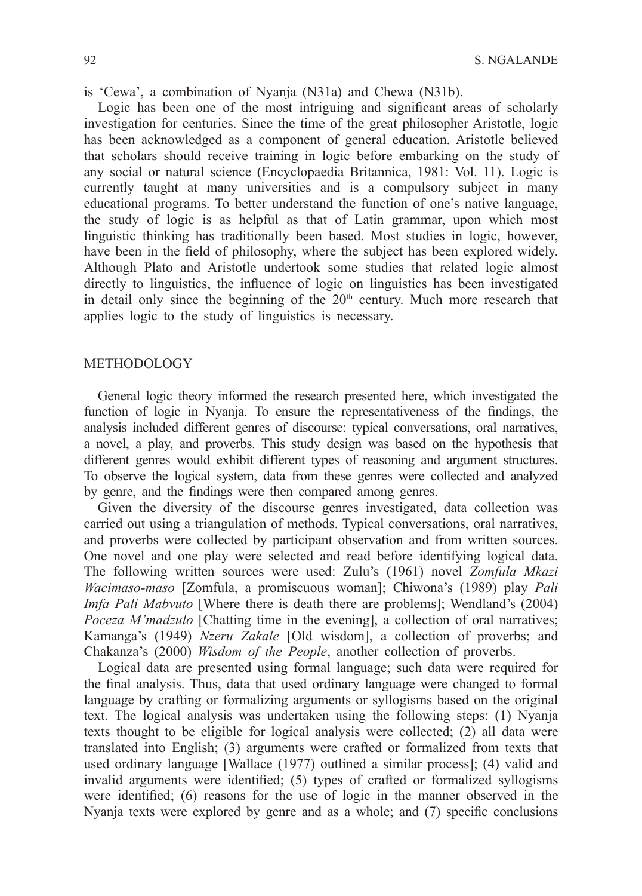is 'Cewa', a combination of Nyanja (N31a) and Chewa (N31b).

Logic has been one of the most intriguing and significant areas of scholarly investigation for centuries. Since the time of the great philosopher Aristotle, logic has been acknowledged as a component of general education. Aristotle believed that scholars should receive training in logic before embarking on the study of any social or natural science (Encyclopaedia Britannica, 1981: Vol. 11). Logic is currently taught at many universities and is a compulsory subject in many educational programs. To better understand the function of one's native language, the study of logic is as helpful as that of Latin grammar, upon which most linguistic thinking has traditionally been based. Most studies in logic, however, have been in the field of philosophy, where the subject has been explored widely. Although Plato and Aristotle undertook some studies that related logic almost directly to linguistics, the influence of logic on linguistics has been investigated in detail only since the beginning of the  $20<sup>th</sup>$  century. Much more research that applies logic to the study of linguistics is necessary.

## **METHODOLOGY**

General logic theory informed the research presented here, which investigated the function of logic in Nyanja. To ensure the representativeness of the findings, the analysis included different genres of discourse: typical conversations, oral narratives, a novel, a play, and proverbs. This study design was based on the hypothesis that different genres would exhibit different types of reasoning and argument structures. To observe the logical system, data from these genres were collected and analyzed by genre, and the findings were then compared among genres.

Given the diversity of the discourse genres investigated, data collection was carried out using a triangulation of methods. Typical conversations, oral narratives, and proverbs were collected by participant observation and from written sources. One novel and one play were selected and read before identifying logical data. The following written sources were used: Zulu's (1961) novel *Zomfula Mkazi Wacimaso-maso* [Zomfula, a promiscuous woman]; Chiwona's (1989) play *Pali Imfa Pali Mabvuto* [Where there is death there are problems]; Wendland's (2004) *Poceza M'madzulo* [Chatting time in the evening], a collection of oral narratives; Kamanga's (1949) *Nzeru Zakale* [Old wisdom], a collection of proverbs; and Chakanza's (2000) *Wisdom of the People*, another collection of proverbs.

Logical data are presented using formal language; such data were required for the final analysis. Thus, data that used ordinary language were changed to formal language by crafting or formalizing arguments or syllogisms based on the original text. The logical analysis was undertaken using the following steps: (1) Nyanja texts thought to be eligible for logical analysis were collected; (2) all data were translated into English; (3) arguments were crafted or formalized from texts that used ordinary language [Wallace (1977) outlined a similar process]; (4) valid and invalid arguments were identified;  $(5)$  types of crafted or formalized syllogisms were identified;  $(6)$  reasons for the use of logic in the manner observed in the Nyanja texts were explored by genre and as a whole; and (7) specific conclusions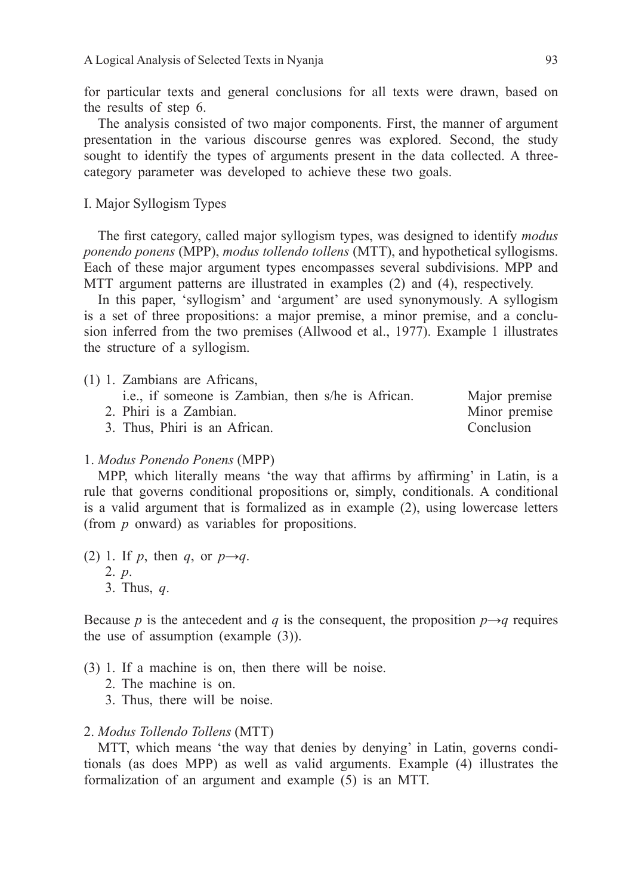for particular texts and general conclusions for all texts were drawn, based on the results of step 6.

The analysis consisted of two major components. First, the manner of argument presentation in the various discourse genres was explored. Second, the study sought to identify the types of arguments present in the data collected. A threecategory parameter was developed to achieve these two goals.

I. Major Syllogism Types

The first category, called major syllogism types, was designed to identify *modus ponendo ponens* (MPP), *modus tollendo tollens* (MTT), and hypothetical syllogisms. Each of these major argument types encompasses several subdivisions. MPP and MTT argument patterns are illustrated in examples (2) and (4), respectively.

In this paper, 'syllogism' and 'argument' are used synonymously. A syllogism is a set of three propositions: a major premise, a minor premise, and a conclusion inferred from the two premises (Allwood et al., 1977). Example 1 illustrates the structure of a syllogism.

- (1) 1. Zambians are Africans, i.e., if someone is Zambian, then s/he is African. Major premise
	- 2. Phiri is a Zambian. Minor premise

3. Thus, Phiri is an African. Conclusion

# 1. *Modus Ponendo Ponens* (MPP)

MPP, which literally means 'the way that affirms by affirming' in Latin, is a rule that governs conditional propositions or, simply, conditionals. A conditional is a valid argument that is formalized as in example (2), using lowercase letters (from *p* onward) as variables for propositions.

(2) 1. If *p*, then *q*, or  $p \rightarrow q$ . 2. *p*. 3. Thus, *q*.

Because *p* is the antecedent and *q* is the consequent, the proposition  $p \rightarrow q$  requires the use of assumption (example (3)).

- (3) 1. If a machine is on, then there will be noise.
	- 2. The machine is on.
	- 3. Thus, there will be noise.

#### 2. *Modus Tollendo Tollens* (MTT)

MTT, which means 'the way that denies by denying' in Latin, governs conditionals (as does MPP) as well as valid arguments. Example (4) illustrates the formalization of an argument and example (5) is an MTT.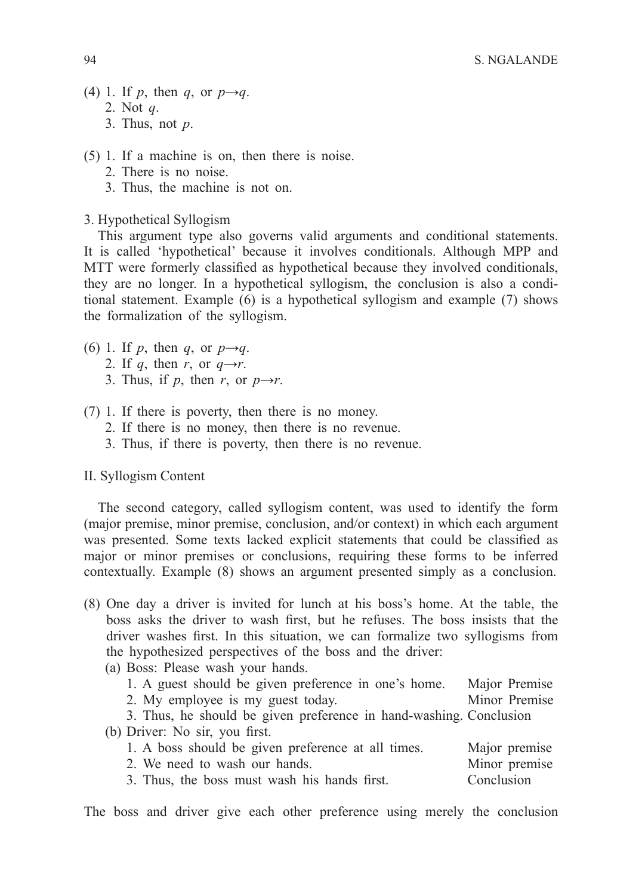- (4) 1. If *p*, then *q*, or  $p \rightarrow q$ . 2. Not *q*. 3. Thus, not *p*.
- (5) 1. If a machine is on, then there is noise.
	- 2. There is no noise.
	- 3. Thus, the machine is not on.
- 3. Hypothetical Syllogism

This argument type also governs valid arguments and conditional statements. It is called 'hypothetical' because it involves conditionals. Although MPP and MTT were formerly classified as hypothetical because they involved conditionals, they are no longer. In a hypothetical syllogism, the conclusion is also a conditional statement. Example (6) is a hypothetical syllogism and example (7) shows the formalization of the syllogism.

- (6) 1. If *p*, then *q*, or  $p \rightarrow q$ .
	- 2. If *q*, then *r*, or  $q \rightarrow r$ .
	- 3. Thus, if *p*, then *r*, or  $p \rightarrow r$ .
- (7) 1. If there is poverty, then there is no money.
	- 2. If there is no money, then there is no revenue.
	- 3. Thus, if there is poverty, then there is no revenue.

#### II. Syllogism Content

The second category, called syllogism content, was used to identify the form (major premise, minor premise, conclusion, and/or context) in which each argument was presented. Some texts lacked explicit statements that could be classified as major or minor premises or conclusions, requiring these forms to be inferred contextually. Example (8) shows an argument presented simply as a conclusion.

- (8) One day a driver is invited for lunch at his boss's home. At the table, the boss asks the driver to wash first, but he refuses. The boss insists that the driver washes first. In this situation, we can formalize two syllogisms from the hypothesized perspectives of the boss and the driver:
	- (a) Boss: Please wash your hands.

| 1. A guest should be given preference in one's home.               | Major Premise |  |  |
|--------------------------------------------------------------------|---------------|--|--|
| 2. My employee is my guest today.                                  | Minor Premise |  |  |
| 3. Thus, he should be given preference in hand-washing. Conclusion |               |  |  |
| (b) Driver: No sir, you first.                                     |               |  |  |
| 1. A boss should be given preference at all times.                 | Major premise |  |  |
| 2. We need to wash our hands.                                      | Minor premise |  |  |
| 3. Thus, the boss must wash his hands first.                       | Conclusion    |  |  |

The boss and driver give each other preference using merely the conclusion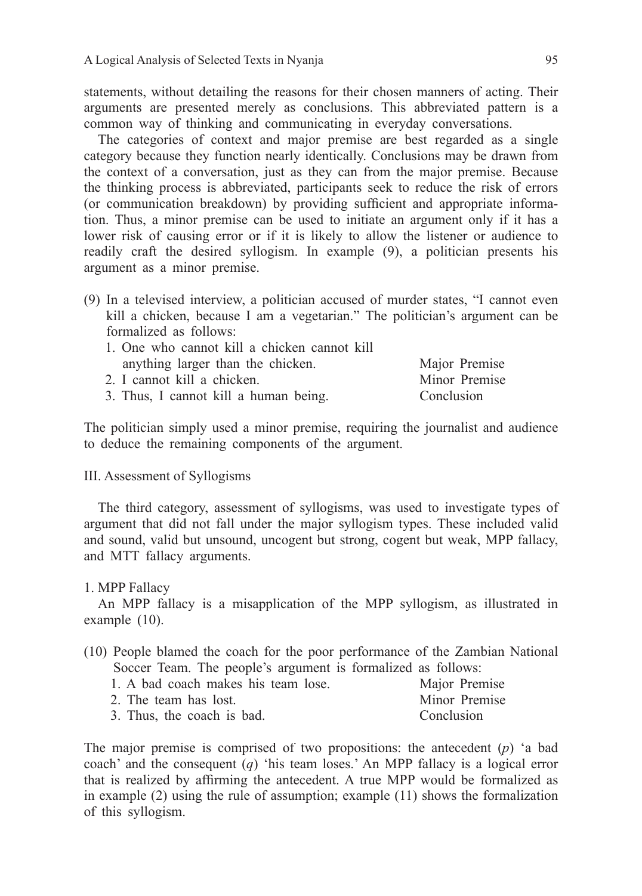statements, without detailing the reasons for their chosen manners of acting. Their arguments are presented merely as conclusions. This abbreviated pattern is a common way of thinking and communicating in everyday conversations.

The categories of context and major premise are best regarded as a single category because they function nearly identically. Conclusions may be drawn from the context of a conversation, just as they can from the major premise. Because the thinking process is abbreviated, participants seek to reduce the risk of errors (or communication breakdown) by providing sufficient and appropriate information. Thus, a minor premise can be used to initiate an argument only if it has a lower risk of causing error or if it is likely to allow the listener or audience to readily craft the desired syllogism. In example (9), a politician presents his argument as a minor premise.

(9) In a televised interview, a politician accused of murder states, "I cannot even kill a chicken, because I am a vegetarian." The politician's argument can be formalized as follows:

| 1. One who cannot kill a chicken cannot kill |               |
|----------------------------------------------|---------------|
| anything larger than the chicken.            | Major Premise |
| 2. I cannot kill a chicken.                  | Minor Premise |
| 3. Thus, I cannot kill a human being.        | Conclusion    |

The politician simply used a minor premise, requiring the journalist and audience to deduce the remaining components of the argument.

## III. Assessment of Syllogisms

The third category, assessment of syllogisms, was used to investigate types of argument that did not fall under the major syllogism types. These included valid and sound, valid but unsound, uncogent but strong, cogent but weak, MPP fallacy, and MTT fallacy arguments.

#### 1. MPP Fallacy

An MPP fallacy is a misapplication of the MPP syllogism, as illustrated in example (10).

- (10) People blamed the coach for the poor performance of the Zambian National Soccer Team. The people's argument is formalized as follows:
	- 1. A bad coach makes his team lose. Major Premise<br>
	2. The team has lost Minor Premise 2. The team has lost. 3. Thus, the coach is bad. Conclusion

The major premise is comprised of two propositions: the antecedent (*p*) 'a bad coach' and the consequent (*q*) 'his team loses.' An MPP fallacy is a logical error that is realized by affirming the antecedent. A true MPP would be formalized as in example (2) using the rule of assumption; example (11) shows the formalization of this syllogism.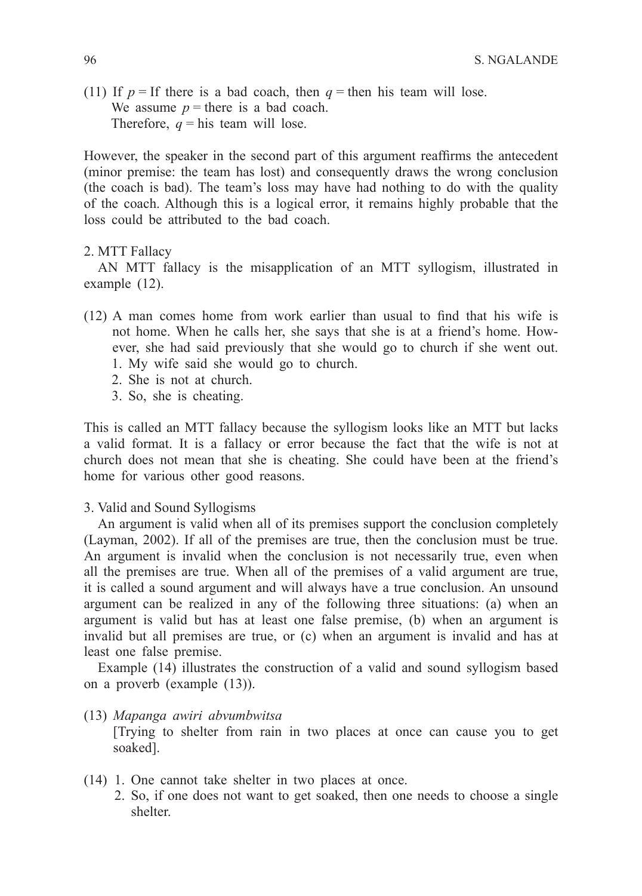(11) If  $p =$  If there is a bad coach, then  $q =$  then his team will lose. We assume  $p =$  there is a bad coach. Therefore,  $q =$ his team will lose.

However, the speaker in the second part of this argument reaffirms the antecedent (minor premise: the team has lost) and consequently draws the wrong conclusion (the coach is bad). The team's loss may have had nothing to do with the quality of the coach. Although this is a logical error, it remains highly probable that the loss could be attributed to the bad coach.

#### 2. MTT Fallacy

AN MTT fallacy is the misapplication of an MTT syllogism, illustrated in example (12).

- $(12)$  A man comes home from work earlier than usual to find that his wife is not home. When he calls her, she says that she is at a friend's home. However, she had said previously that she would go to church if she went out. 1. My wife said she would go to church.
	-
	- 2. She is not at church.
	- 3. So, she is cheating.

This is called an MTT fallacy because the syllogism looks like an MTT but lacks a valid format. It is a fallacy or error because the fact that the wife is not at church does not mean that she is cheating. She could have been at the friend's home for various other good reasons.

## 3. Valid and Sound Syllogisms

An argument is valid when all of its premises support the conclusion completely (Layman, 2002). If all of the premises are true, then the conclusion must be true. An argument is invalid when the conclusion is not necessarily true, even when all the premises are true. When all of the premises of a valid argument are true, it is called a sound argument and will always have a true conclusion. An unsound argument can be realized in any of the following three situations: (a) when an argument is valid but has at least one false premise, (b) when an argument is invalid but all premises are true, or (c) when an argument is invalid and has at least one false premise.

Example (14) illustrates the construction of a valid and sound syllogism based on a proverb (example (13)).

(13) *Mapanga awiri abvumbwitsa*

 [Trying to shelter from rain in two places at once can cause you to get soaked].

- (14) 1. One cannot take shelter in two places at once.
	- 2. So, if one does not want to get soaked, then one needs to choose a single shelter.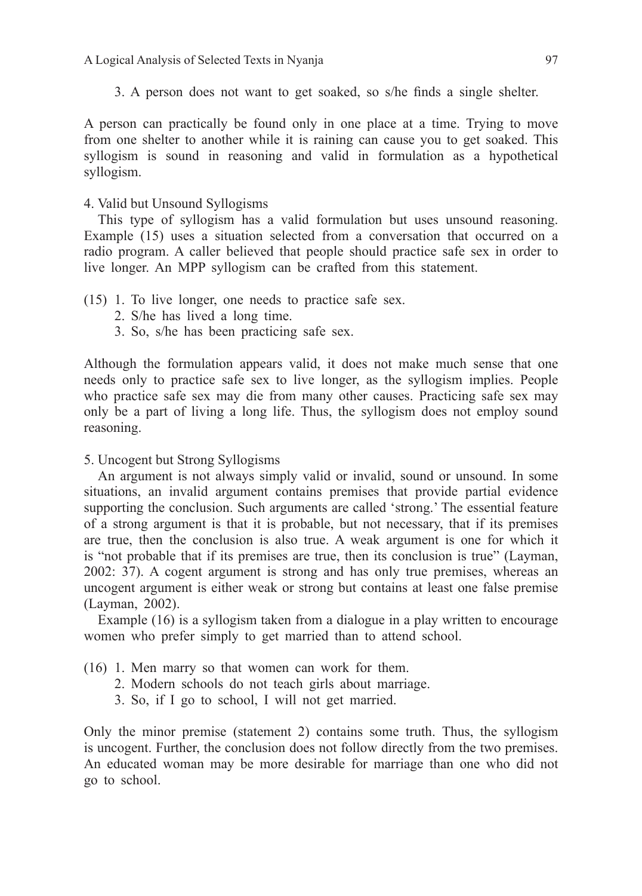A Logical Analysis of Selected Texts in Nyanja 97

3. A person does not want to get soaked, so s/he finds a single shelter.

A person can practically be found only in one place at a time. Trying to move from one shelter to another while it is raining can cause you to get soaked. This syllogism is sound in reasoning and valid in formulation as a hypothetical syllogism.

## 4. Valid but Unsound Syllogisms

This type of syllogism has a valid formulation but uses unsound reasoning. Example (15) uses a situation selected from a conversation that occurred on a radio program. A caller believed that people should practice safe sex in order to live longer. An MPP syllogism can be crafted from this statement.

- (15) 1. To live longer, one needs to practice safe sex.
	- 2. S/he has lived a long time.
	- 3. So, s/he has been practicing safe sex.

Although the formulation appears valid, it does not make much sense that one needs only to practice safe sex to live longer, as the syllogism implies. People who practice safe sex may die from many other causes. Practicing safe sex may only be a part of living a long life. Thus, the syllogism does not employ sound reasoning.

## 5. Uncogent but Strong Syllogisms

An argument is not always simply valid or invalid, sound or unsound. In some situations, an invalid argument contains premises that provide partial evidence supporting the conclusion. Such arguments are called 'strong.' The essential feature of a strong argument is that it is probable, but not necessary, that if its premises are true, then the conclusion is also true. A weak argument is one for which it is "not probable that if its premises are true, then its conclusion is true" ( Layman, 2002: 37). A cogent argument is strong and has only true premises, whereas an uncogent argument is either weak or strong but contains at least one false premise (Layman, 2002).

Example (16) is a syllogism taken from a dialogue in a play written to encourage women who prefer simply to get married than to attend school.

- (16) 1. Men marry so that women can work for them.
	- 2. Modern schools do not teach girls about marriage.
	- 3. So, if I go to school, I will not get married.

Only the minor premise (statement 2) contains some truth. Thus, the syllogism is uncogent. Further, the conclusion does not follow directly from the two premises. An educated woman may be more desirable for marriage than one who did not go to school.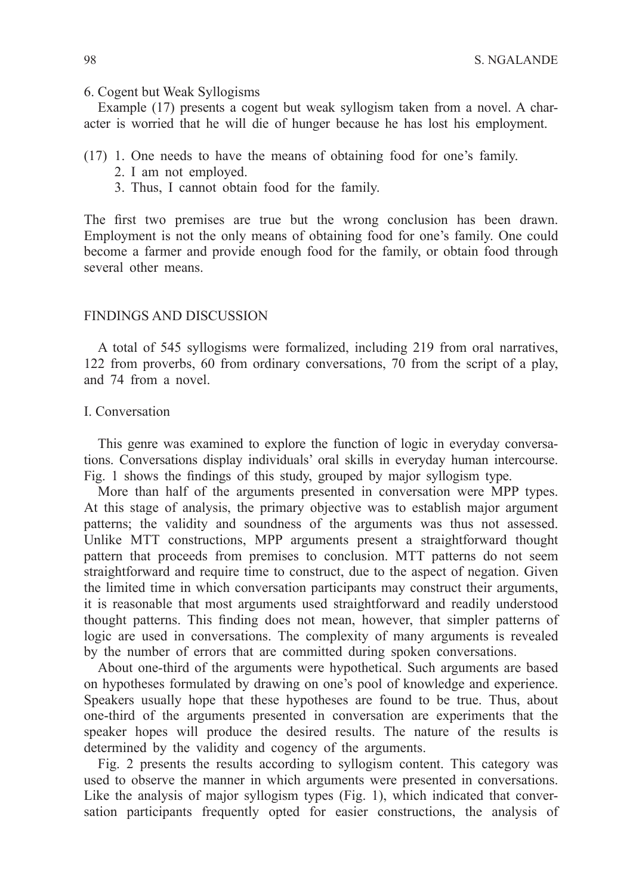#### 6. Cogent but Weak Syllogisms

Example (17) presents a cogent but weak syllogism taken from a novel. A character is worried that he will die of hunger because he has lost his employment.

- (17) 1. One needs to have the means of obtaining food for one's family.
	- 2. I am not employed.
	- 3. Thus, I cannot obtain food for the family.

The first two premises are true but the wrong conclusion has been drawn. Employment is not the only means of obtaining food for one's family. One could become a farmer and provide enough food for the family, or obtain food through several other means.

## FINDINGS AND DISCUSSION

A total of 545 syllogisms were formalized, including 219 from oral narratives, 122 from proverbs, 60 from ordinary conversations, 70 from the script of a play, and 74 from a novel.

## I. Conversation

This genre was examined to explore the function of logic in everyday conversations. Conversations display individuals' oral skills in everyday human intercourse. Fig. 1 shows the findings of this study, grouped by major syllogism type.

More than half of the arguments presented in conversation were MPP types. At this stage of analysis, the primary objective was to establish major argument patterns; the validity and soundness of the arguments was thus not assessed. Unlike MTT constructions, MPP arguments present a straightforward thought pattern that proceeds from premises to conclusion. MTT patterns do not seem straightforward and require time to construct, due to the aspect of negation. Given the limited time in which conversation participants may construct their arguments, it is reasonable that most arguments used straightforward and readily understood thought patterns. This finding does not mean, however, that simpler patterns of logic are used in conversations. The complexity of many arguments is revealed by the number of errors that are committed during spoken conversations.

About one-third of the arguments were hypothetical. Such arguments are based on hypotheses formulated by drawing on one's pool of knowledge and experience. Speakers usually hope that these hypotheses are found to be true. Thus, about one-third of the arguments presented in conversation are experiments that the speaker hopes will produce the desired results. The nature of the results is determined by the validity and cogency of the arguments.

Fig. 2 presents the results according to syllogism content. This category was used to observe the manner in which arguments were presented in conversations. Like the analysis of major syllogism types (Fig. 1), which indicated that conversation participants frequently opted for easier constructions, the analysis of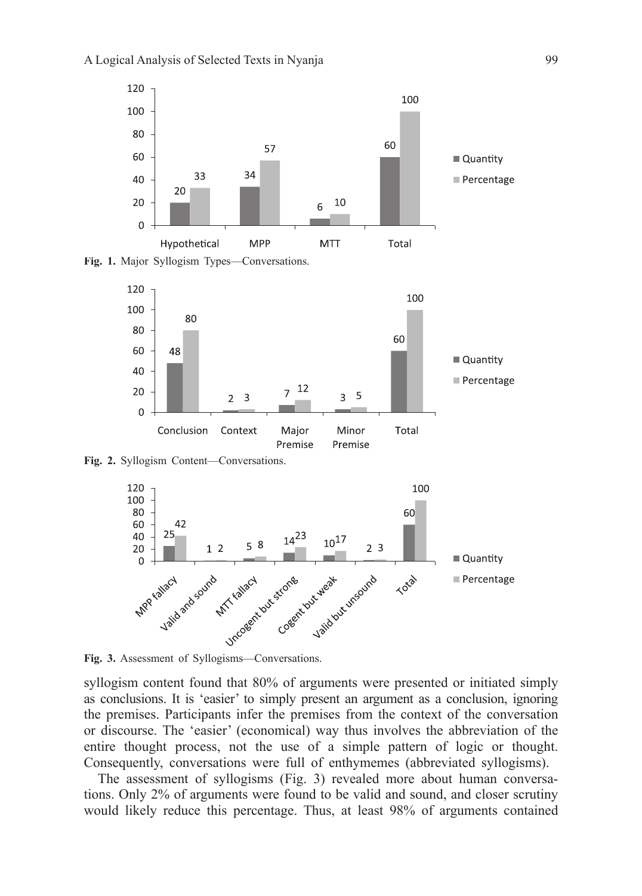

**Fig. 1.** Major Syllogism Types—Conversations.



**Fig. 2.** Syllogism Content—Conversations.



**Fig. 3.** Assessment of Syllogisms—Conversations.

syllogism content found that 80% of arguments were presented or initiated simply as conclusions. It is 'easier' to simply present an argument as a conclusion, ignoring the premises. Participants infer the premises from the context of the conversation or discourse. The 'easier' (economical) way thus involves the abbreviation of the entire thought process, not the use of a simple pattern of logic or thought. Consequently, conversations were full of enthymemes (abbreviated syllogisms).

The assessment of syllogisms (Fig. 3) revealed more about human conversations. Only 2% of arguments were found to be valid and sound, and closer scrutiny would likely reduce this percentage. Thus, at least 98% of arguments contained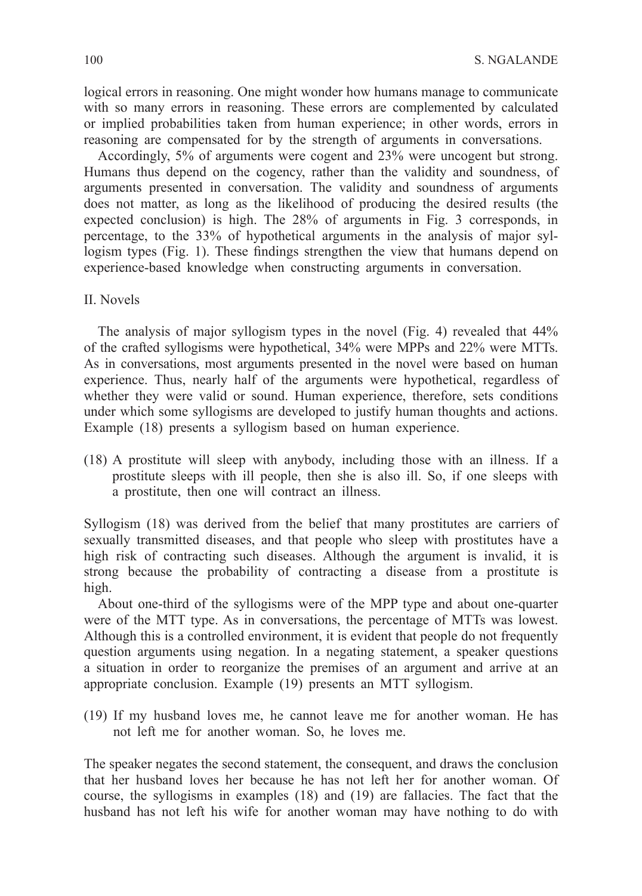logical errors in reasoning. One might wonder how humans manage to communicate with so many errors in reasoning. These errors are complemented by calculated or implied probabilities taken from human experience; in other words, errors in reasoning are compensated for by the strength of arguments in conversations.

Accordingly, 5% of arguments were cogent and 23% were uncogent but strong. Humans thus depend on the cogency, rather than the validity and soundness, of arguments presented in conversation. The validity and soundness of arguments does not matter, as long as the likelihood of producing the desired results (the expected conclusion) is high. The 28% of arguments in Fig. 3 corresponds, in percentage, to the 33% of hypothetical arguments in the analysis of major syllogism types (Fig. 1). These findings strengthen the view that humans depend on experience-based knowledge when constructing arguments in conversation.

#### II. Novels

The analysis of major syllogism types in the novel (Fig. 4) revealed that 44% of the crafted syllogisms were hypothetical, 34% were MPPs and 22% were MTTs. As in conversations, most arguments presented in the novel were based on human experience. Thus, nearly half of the arguments were hypothetical, regardless of whether they were valid or sound. Human experience, therefore, sets conditions under which some syllogisms are developed to justify human thoughts and actions. Example (18) presents a syllogism based on human experience.

(18) A prostitute will sleep with anybody, including those with an illness. If a prostitute sleeps with ill people, then she is also ill. So, if one sleeps with a prostitute, then one will contract an illness.

Syllogism (18) was derived from the belief that many prostitutes are carriers of sexually transmitted diseases, and that people who sleep with prostitutes have a high risk of contracting such diseases. Although the argument is invalid, it is strong because the probability of contracting a disease from a prostitute is high.

About one-third of the syllogisms were of the MPP type and about one- quarter were of the MTT type. As in conversations, the percentage of MTTs was lowest. Although this is a controlled environment, it is evident that people do not frequently question arguments using negation. In a negating statement, a speaker questions a situation in order to reorganize the premises of an argument and arrive at an appropriate conclusion. Example (19) presents an MTT syllogism.

(19) If my husband loves me, he cannot leave me for another woman. He has not left me for another woman. So, he loves me.

The speaker negates the second statement, the consequent, and draws the conclusion that her husband loves her because he has not left her for another woman. Of course, the syllogisms in examples (18) and (19) are fallacies. The fact that the husband has not left his wife for another woman may have nothing to do with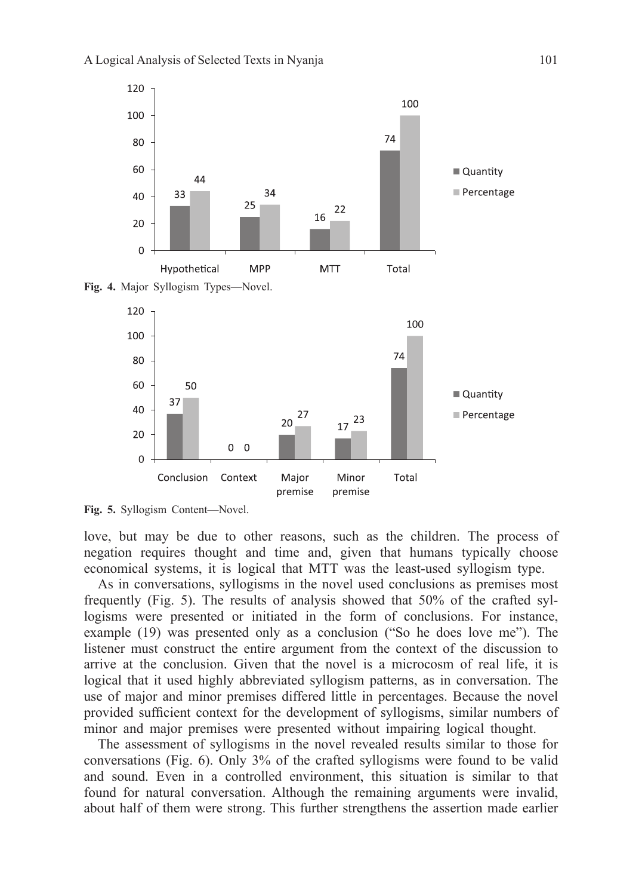



**Fig. 5.** Syllogism Content—Novel.

love, but may be due to other reasons, such as the children. The process of negation requires thought and time and, given that humans typically choose economical systems, it is logical that MTT was the least-used syllogism type.

As in conversations, syllogisms in the novel used conclusions as premises most frequently (Fig. 5). The results of analysis showed that 50% of the crafted syllogisms were presented or initiated in the form of conclusions. For instance, example (19) was presented only as a conclusion ("So he does love me"). The listener must construct the entire argument from the context of the discussion to arrive at the conclusion. Given that the novel is a microcosm of real life, it is logical that it used highly abbreviated syllogism patterns, as in conversation. The use of major and minor premises differed little in percentages. Because the novel provided sufficient context for the development of syllogisms, similar numbers of minor and major premises were presented without impairing logical thought.

The assessment of syllogisms in the novel revealed results similar to those for conversations (Fig. 6). Only 3% of the crafted syllogisms were found to be valid and sound. Even in a controlled environment, this situation is similar to that found for natural conversation. Although the remaining arguments were invalid, about half of them were strong. This further strengthens the assertion made earlier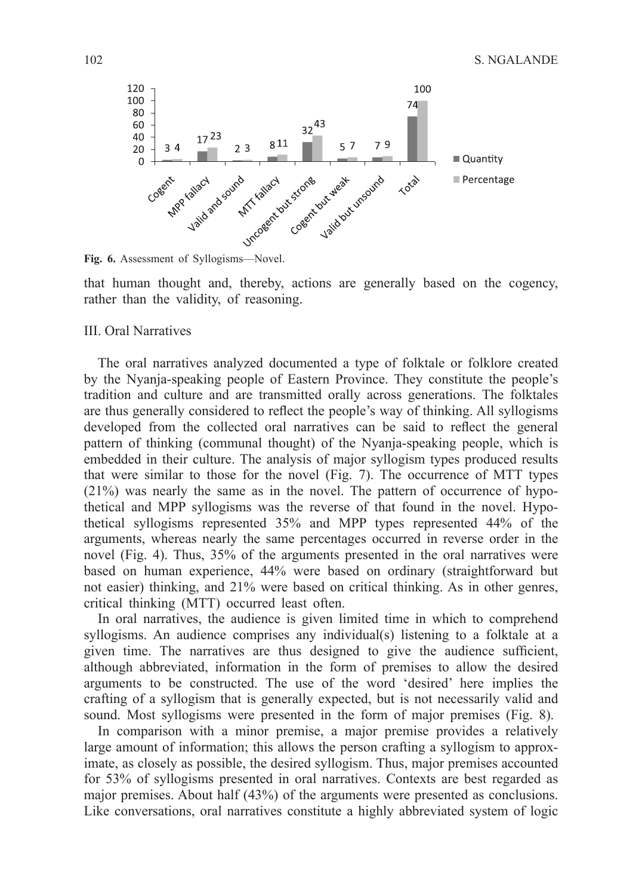

**Fig. 6.** Assessment of Syllogisms—Novel.

that human thought and, thereby, actions are generally based on the cogency, rather than the validity, of reasoning.

## III. Oral Narratives

The oral narratives analyzed documented a type of folktale or folklore created by the Nyanja-speaking people of Eastern Province. They constitute the people's tradition and culture and are transmitted orally across generations. The folktales are thus generally considered to reflect the people's way of thinking. All syllogisms developed from the collected oral narratives can be said to reflect the general pattern of thinking (communal thought) of the Nyanja-speaking people, which is embedded in their culture. The analysis of major syllogism types produced results that were similar to those for the novel (Fig. 7). The occurrence of MTT types (21%) was nearly the same as in the novel. The pattern of occurrence of hypothetical and MPP syllogisms was the reverse of that found in the novel. Hypothetical syllogisms represented 35% and MPP types represented 44% of the arguments, whereas nearly the same percentages occurred in reverse order in the novel (Fig. 4). Thus, 35% of the arguments presented in the oral narratives were based on human experience, 44% were based on ordinary (straightforward but not easier) thinking, and 21% were based on critical thinking. As in other genres, critical thinking (MTT) occurred least often.

In oral narratives, the audience is given limited time in which to comprehend syllogisms. An audience comprises any individual(s) listening to a folktale at a given time. The narratives are thus designed to give the audience sufficient, although abbreviated, information in the form of premises to allow the desired arguments to be constructed. The use of the word 'desired' here implies the crafting of a syllogism that is generally expected, but is not necessarily valid and sound. Most syllogisms were presented in the form of major premises (Fig. 8).

In comparison with a minor premise, a major premise provides a relatively large amount of information; this allows the person crafting a syllogism to approximate, as closely as possible, the desired syllogism. Thus, major premises accounted for 53% of syllogisms presented in oral narratives. Contexts are best regarded as major premises. About half (43%) of the arguments were presented as conclusions. Like conversations, oral narratives constitute a highly abbreviated system of logic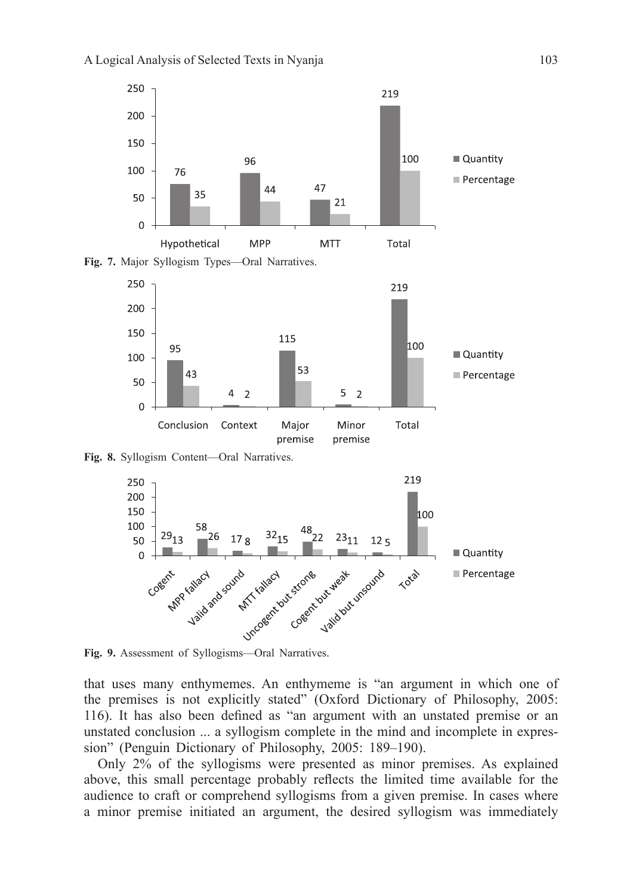



**Fig. 8.** Syllogism Content—Oral Narratives.



**Fig. 9.** Assessment of Syllogisms—Oral Narratives.

that uses many enthymemes. An enthymeme is "an argument in which one of the premises is not explicitly stated" (Oxford Dictionary of Philosophy, 2005: 116). It has also been defined as "an argument with an unstated premise or an unstated conclusion ... a syllogism complete in the mind and incomplete in expression" (Penguin Dictionary of Philosophy, 2005: 189–190).

Only 2% of the syllogisms were presented as minor premises. As explained above, this small percentage probably reflects the limited time available for the audience to craft or comprehend syllogisms from a given premise. In cases where a minor premise initiated an argument, the desired syllogism was immediately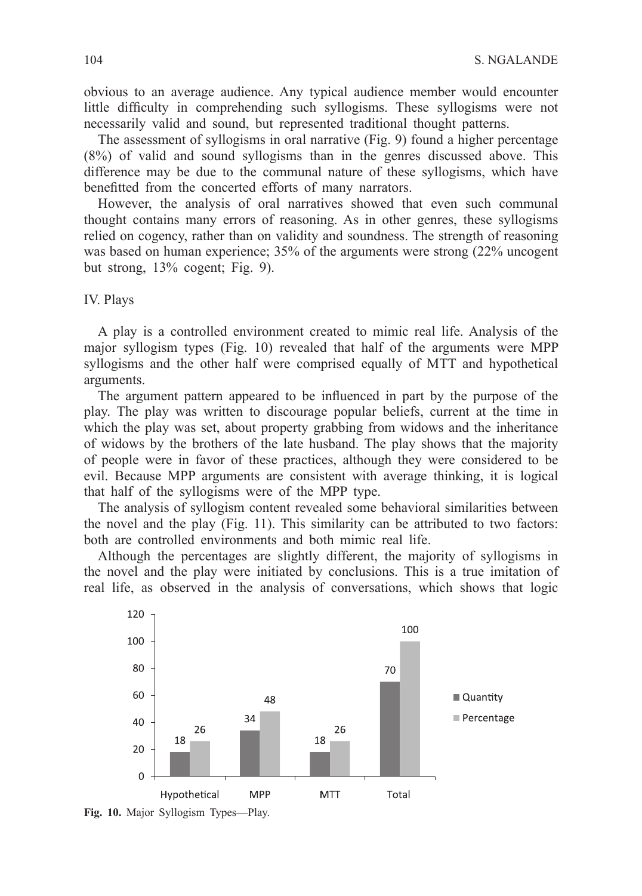obvious to an average audience. Any typical audience member would encounter little difficulty in comprehending such syllogisms. These syllogisms were not necessarily valid and sound, but represented traditional thought patterns.

The assessment of syllogisms in oral narrative (Fig. 9) found a higher percentage (8%) of valid and sound syllogisms than in the genres discussed above. This difference may be due to the communal nature of these syllogisms, which have benefitted from the concerted efforts of many narrators.

However, the analysis of oral narratives showed that even such communal thought contains many errors of reasoning. As in other genres, these syllogisms relied on cogency, rather than on validity and soundness. The strength of reasoning was based on human experience; 35% of the arguments were strong (22% uncogent but strong, 13% cogent; Fig. 9).

#### IV. Plays

A play is a controlled environment created to mimic real life. Analysis of the major syllogism types (Fig. 10) revealed that half of the arguments were MPP syllogisms and the other half were comprised equally of MTT and hypothetical arguments.

The argument pattern appeared to be influenced in part by the purpose of the play. The play was written to discourage popular beliefs, current at the time in which the play was set, about property grabbing from widows and the inheritance of widows by the brothers of the late husband. The play shows that the majority of people were in favor of these practices, although they were considered to be evil. Because MPP arguments are consistent with average thinking, it is logical that half of the syllogisms were of the MPP type.

The analysis of syllogism content revealed some behavioral similarities between the novel and the play (Fig. 11). This similarity can be attributed to two factors: both are controlled environments and both mimic real life.

Although the percentages are slightly different, the majority of syllogisms in the novel and the play were initiated by conclusions. This is a true imitation of real life, as observed in the analysis of conversations, which shows that logic



**Fig. 10.** Major Syllogism Types—Play.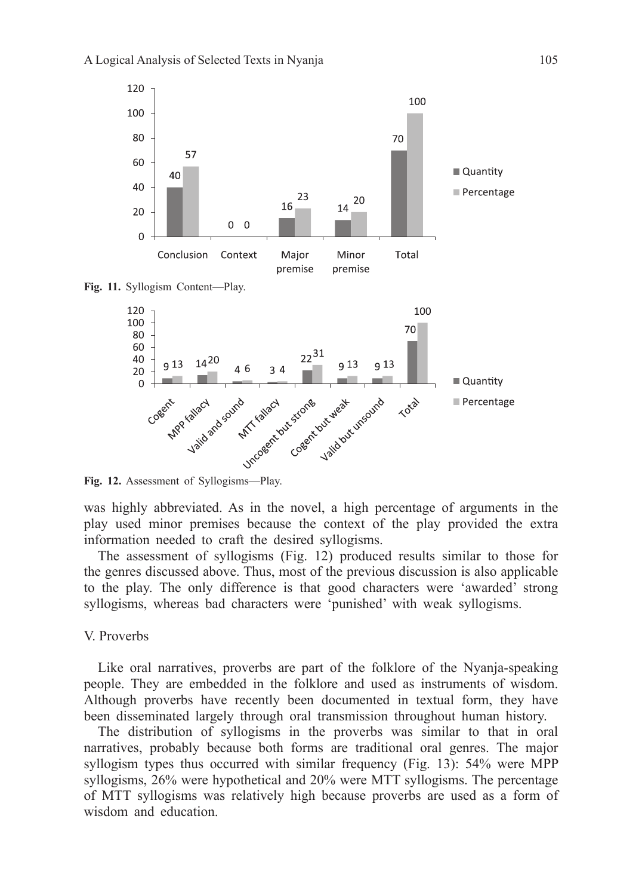

**Fig. 11.** Syllogism Content—Play.



**Fig. 12.** Assessment of Syllogisms—Play.

was highly abbreviated. As in the novel, a high percentage of arguments in the play used minor premises because the context of the play provided the extra information needed to craft the desired syllogisms.

The assessment of syllogisms (Fig. 12) produced results similar to those for the genres discussed above. Thus, most of the previous discussion is also applicable to the play. The only difference is that good characters were 'awarded' strong syllogisms, whereas bad characters were 'punished' with weak syllogisms.

## V. Proverbs

Like oral narratives, proverbs are part of the folklore of the Nyanja-speaking people. They are embedded in the folklore and used as instruments of wisdom. Although proverbs have recently been documented in textual form, they have been disseminated largely through oral transmission throughout human history.

The distribution of syllogisms in the proverbs was similar to that in oral narratives, probably because both forms are traditional oral genres. The major syllogism types thus occurred with similar frequency (Fig. 13): 54% were MPP syllogisms, 26% were hypothetical and 20% were MTT syllogisms. The percentage of MTT syllogisms was relatively high because proverbs are used as a form of wisdom and education.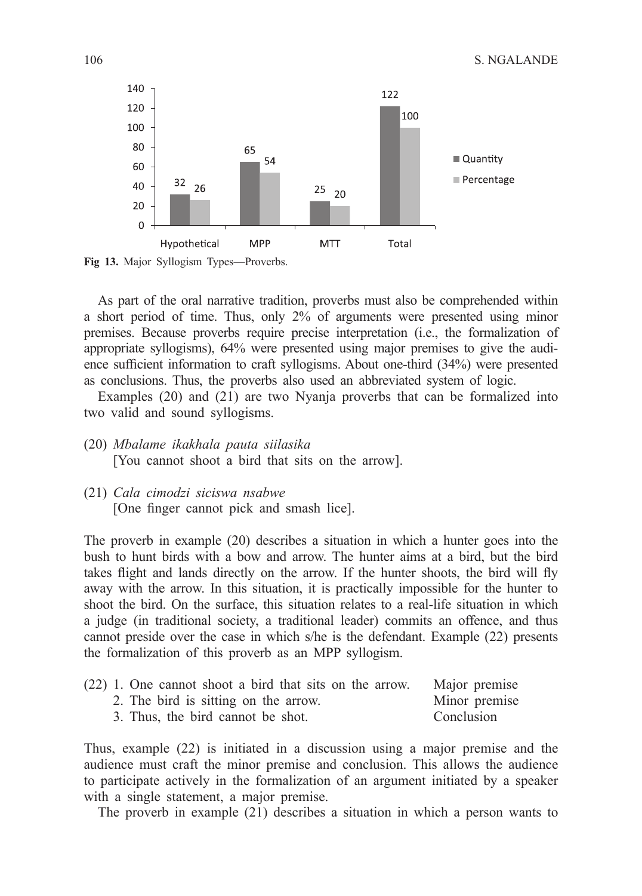

Fig 13. Major Syllogism Types-Proverbs.

As part of the oral narrative tradition, proverbs must also be comprehended within a short period of time. Thus, only 2% of arguments were presented using minor premises. Because proverbs require precise interpretation (i.e., the formalization of appropriate syllogisms), 64% were presented using major premises to give the audience sufficient information to craft syllogisms. About one-third (34%) were presented as conclusions. Thus, the proverbs also used an abbreviated system of logic.

Examples (20) and (21) are two Nyanja proverbs that can be formalized into two valid and sound syllogisms.

- (20) *Mbalame ikakhala pauta siilasika* [You cannot shoot a bird that sits on the arrow].
- (21) *Cala cimodzi siciswa nsabwe* [One finger cannot pick and smash lice].

The proverb in example (20) describes a situation in which a hunter goes into the bush to hunt birds with a bow and arrow. The hunter aims at a bird, but the bird takes flight and lands directly on the arrow. If the hunter shoots, the bird will fly away with the arrow. In this situation, it is practically impossible for the hunter to shoot the bird. On the surface, this situation relates to a real-life situation in which a judge (in traditional society, a traditional leader) commits an offence, and thus cannot preside over the case in which s/he is the defendant. Example (22) presents the formalization of this proverb as an MPP syllogism.

|  | (22) 1. One cannot shoot a bird that sits on the arrow. |  |  |  |  |            | Major premise |
|--|---------------------------------------------------------|--|--|--|--|------------|---------------|
|  | 2. The bird is sitting on the arrow.                    |  |  |  |  |            | Minor premise |
|  | 3. Thus, the bird cannot be shot.                       |  |  |  |  | Conclusion |               |

Thus, example (22) is initiated in a discussion using a major premise and the audience must craft the minor premise and conclusion. This allows the audience to participate actively in the formalization of an argument initiated by a speaker with a single statement, a major premise.

The proverb in example (21) describes a situation in which a person wants to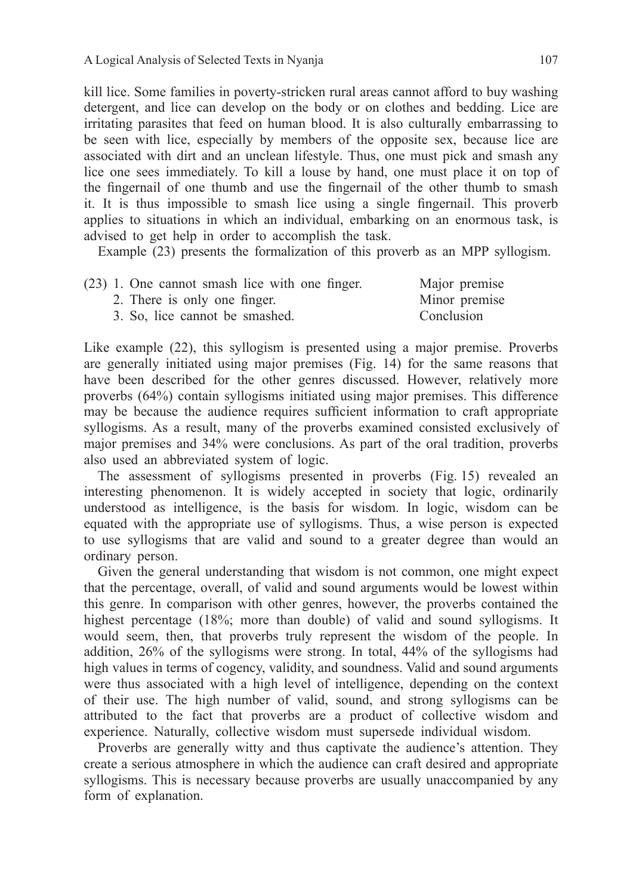kill lice. Some families in poverty-stricken rural areas cannot afford to buy washing detergent, and lice can develop on the body or on clothes and bedding. Lice are irritating parasites that feed on human blood. It is also culturally embarrassing to be seen with lice, especially by members of the opposite sex, because lice are associated with dirt and an unclean lifestyle. Thus, one must pick and smash any lice one sees immediately. To kill a louse by hand, one must place it on top of the fingernail of one thumb and use the fingernail of the other thumb to smash it. It is thus impossible to smash lice using a single fingernail. This proverb applies to situations in which an individual, embarking on an enormous task, is advised to get help in order to accomplish the task.

Example (23) presents the formalization of this proverb as an MPP syllogism.

| (23) 1. One cannot smash lice with one finger. | Major premise |  |  |
|------------------------------------------------|---------------|--|--|
| 2. There is only one finger.                   | Minor premise |  |  |
| 3. So, lice cannot be smashed.                 | Conclusion    |  |  |

Like example (22), this syllogism is presented using a major premise. Proverbs are generally initiated using major premises (Fig. 14) for the same reasons that have been described for the other genres discussed. However, relatively more proverbs (64%) contain syllogisms initiated using major premises. This difference may be because the audience requires sufficient information to craft appropriate syllogisms. As a result, many of the proverbs examined consisted exclusively of major premises and 34% were conclusions. As part of the oral tradition, proverbs also used an abbreviated system of logic.

The assessment of syllogisms presented in proverbs (Fig. 15) revealed an interesting phenomenon. It is widely accepted in society that logic, ordinarily understood as intelligence, is the basis for wisdom. In logic, wisdom can be equated with the appropriate use of syllogisms. Thus, a wise person is expected to use syllogisms that are valid and sound to a greater degree than would an ordinary person.

Given the general understanding that wisdom is not common, one might expect that the percentage, overall, of valid and sound arguments would be lowest within this genre. In comparison with other genres, however, the proverbs contained the highest percentage (18%; more than double) of valid and sound syllogisms. It would seem, then, that proverbs truly represent the wisdom of the people. In addition, 26% of the syllogisms were strong. In total, 44% of the syllogisms had high values in terms of cogency, validity, and soundness. Valid and sound arguments were thus associated with a high level of intelligence, depending on the context of their use. The high number of valid, sound, and strong syllogisms can be attributed to the fact that proverbs are a product of collective wisdom and experience. Naturally, collective wisdom must supersede individual wisdom.

Proverbs are generally witty and thus captivate the audience's attention. They create a serious atmosphere in which the audience can craft desired and appropriate syllogisms. This is necessary because proverbs are usually unaccompanied by any form of explanation.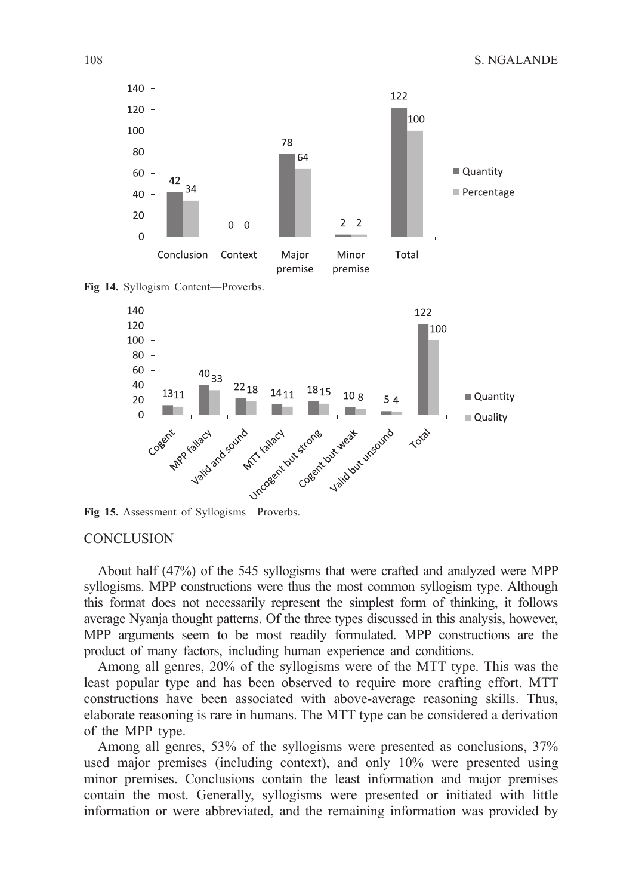





**Fig 15.** Assessment of Syllogisms—Proverbs.

#### **CONCLUSION**

About half (47%) of the 545 syllogisms that were crafted and analyzed were MPP syllogisms. MPP constructions were thus the most common syllogism type. Although this format does not necessarily represent the simplest form of thinking, it follows average Nyanja thought patterns. Of the three types discussed in this analysis, however, MPP arguments seem to be most readily formulated. MPP constructions are the product of many factors, including human experience and conditions.

Among all genres, 20% of the syllogisms were of the MTT type. This was the least popular type and has been observed to require more crafting effort. MTT constructions have been associated with above-average reasoning skills. Thus, elaborate reasoning is rare in humans. The MTT type can be considered a derivation of the MPP type.

Among all genres, 53% of the syllogisms were presented as conclusions, 37% used major premises (including context), and only 10% were presented using minor premises. Conclusions contain the least information and major premises contain the most. Generally, syllogisms were presented or initiated with little information or were abbreviated, and the remaining information was provided by